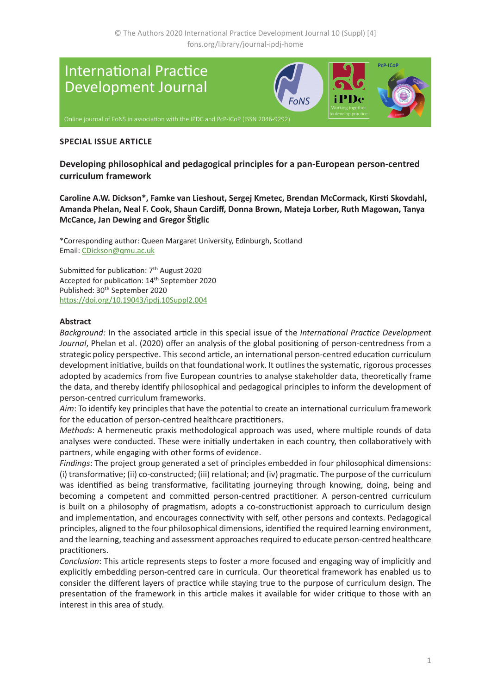

#### **SPECIAL ISSUE ARTICLE**

**Developing philosophical and pedagogical principles for a pan-European person-centred curriculum framework** 

**Caroline A.W. Dickson\*, Famke van Lieshout, Sergej Kmetec, Brendan McCormack, Kirsti Skovdahl, Amanda Phelan, Neal F. Cook, Shaun Cardiff, Donna Brown, Mateja Lorber, Ruth Magowan, Tanya McCance, Jan Dewing and Gregor Štiglic**

\*Corresponding author: Queen Margaret University, Edinburgh, Scotland Email: [CDickson@qmu.ac.uk](mailto:CDickson%40qmu.ac.uk?subject=IPDJ%20article)

Submitted for publication: 7<sup>th</sup> August 2020 Accepted for publication: 14th September 2020 Published: 30<sup>th</sup> September 2020 <https://doi.org/10.19043/ipdj.10Suppl2.004>

#### **Abstract**

*Background:* In the associated article in this special issue of the *International Practice Development Journal*, Phelan et al. (2020) offer an analysis of the global positioning of person-centredness from a strategic policy perspective. This second article, an international person-centred education curriculum development initiative, builds on that foundational work. It outlines the systematic, rigorous processes adopted by academics from five European countries to analyse stakeholder data, theoretically frame the data, and thereby identify philosophical and pedagogical principles to inform the development of person-centred curriculum frameworks.

*Aim*: To identify key principles that have the potential to create an international curriculum framework for the education of person-centred healthcare practitioners.

*Methods*: A hermeneutic praxis methodological approach was used, where multiple rounds of data analyses were conducted. These were initially undertaken in each country, then collaboratively with partners, while engaging with other forms of evidence.

*Findings*: The project group generated a set of principles embedded in four philosophical dimensions: (i) transformative; (ii) co-constructed; (iii) relational; and (iv) pragmatic. The purpose of the curriculum was identified as being transformative, facilitating journeying through knowing, doing, being and becoming a competent and committed person-centred practitioner. A person-centred curriculum is built on a philosophy of pragmatism, adopts a co-constructionist approach to curriculum design and implementation, and encourages connectivity with self, other persons and contexts. Pedagogical principles, aligned to the four philosophical dimensions, identified the required learning environment, and the learning, teaching and assessment approaches required to educate person-centred healthcare practitioners.

*Conclusion*: This article represents steps to foster a more focused and engaging way of implicitly and explicitly embedding person-centred care in curricula. Our theoretical framework has enabled us to consider the different layers of practice while staying true to the purpose of curriculum design. The presentation of the framework in this article makes it available for wider critique to those with an interest in this area of study.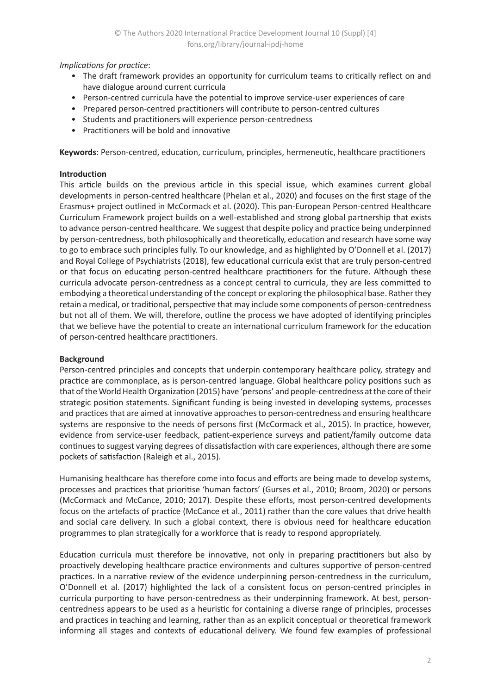## *Implications for practice*:

- The draft framework provides an opportunity for curriculum teams to critically reflect on and have dialogue around current curricula
- Person-centred curricula have the potential to improve service-user experiences of care
- Prepared person-centred practitioners will contribute to person-centred cultures
- Students and practitioners will experience person-centredness
- Practitioners will be bold and innovative

**Keywords**: Person-centred, education, curriculum, principles, hermeneutic, healthcare practitioners

## **Introduction**

This article builds on the previous article in this special issue, which examines current global developments in person-centred healthcare (Phelan et al., 2020) and focuses on the first stage of the Erasmus+ project outlined in McCormack et al. (2020). This pan-European Person-centred Healthcare Curriculum Framework project builds on a well-established and strong global partnership that exists to advance person-centred healthcare. We suggest that despite policy and practice being underpinned by person-centredness, both philosophically and theoretically, education and research have some way to go to embrace such principles fully. To our knowledge, and as highlighted by O'Donnell et al. (2017) and Royal College of Psychiatrists (2018), few educational curricula exist that are truly person-centred or that focus on educating person-centred healthcare practitioners for the future. Although these curricula advocate person-centredness as a concept central to curricula, they are less committed to embodying a theoretical understanding of the concept or exploring the philosophical base. Rather they retain a medical, or traditional, perspective that may include some components of person-centredness but not all of them. We will, therefore, outline the process we have adopted of identifying principles that we believe have the potential to create an international curriculum framework for the education of person-centred healthcare practitioners.

## **Background**

Person-centred principles and concepts that underpin contemporary healthcare policy, strategy and practice are commonplace, as is person-centred language. Global healthcare policy positions such as that of the World Health Organization (2015) have 'persons' and people-centredness at the core of their strategic position statements. Significant funding is being invested in developing systems, processes and practices that are aimed at innovative approaches to person-centredness and ensuring healthcare systems are responsive to the needs of persons first (McCormack et al., 2015). In practice, however, evidence from service-user feedback, patient-experience surveys and patient/family outcome data continues to suggest varying degrees of dissatisfaction with care experiences, although there are some pockets of satisfaction (Raleigh et al., 2015).

Humanising healthcare has therefore come into focus and efforts are being made to develop systems, processes and practices that prioritise 'human factors' (Gurses et al., 2010; Broom, 2020) or persons (McCormack and McCance, 2010; 2017). Despite these efforts, most person-centred developments focus on the artefacts of practice (McCance et al., 2011) rather than the core values that drive health and social care delivery. In such a global context, there is obvious need for healthcare education programmes to plan strategically for a workforce that is ready to respond appropriately.

Education curricula must therefore be innovative, not only in preparing practitioners but also by proactively developing healthcare practice environments and cultures supportive of person-centred practices. In a narrative review of the evidence underpinning person-centredness in the curriculum, O'Donnell et al. (2017) highlighted the lack of a consistent focus on person-centred principles in curricula purporting to have person-centredness as their underpinning framework. At best, personcentredness appears to be used as a heuristic for containing a diverse range of principles, processes and practices in teaching and learning, rather than as an explicit conceptual or theoretical framework informing all stages and contexts of educational delivery. We found few examples of professional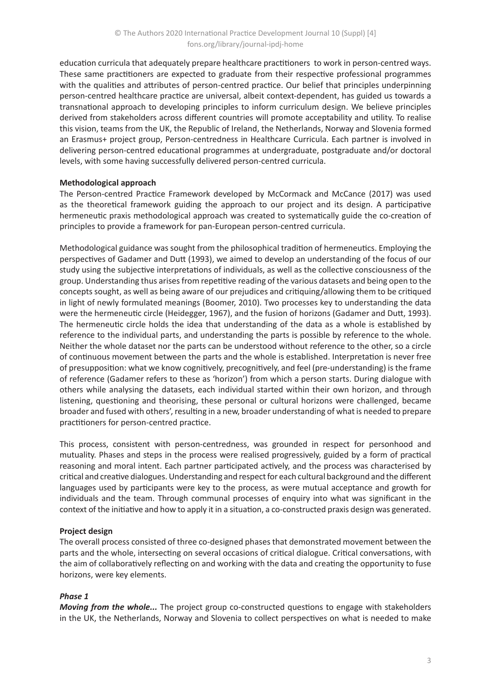education curricula that adequately prepare healthcare practitioners to work in person-centred ways. These same practitioners are expected to graduate from their respective professional programmes with the qualities and attributes of person-centred practice. Our belief that principles underpinning person-centred healthcare practice are universal, albeit context-dependent, has guided us towards a transnational approach to developing principles to inform curriculum design. We believe principles derived from stakeholders across different countries will promote acceptability and utility. To realise this vision, teams from the UK, the Republic of Ireland, the Netherlands, Norway and Slovenia formed an Erasmus+ project group, Person-centredness in Healthcare Curricula. Each partner is involved in delivering person-centred educational programmes at undergraduate, postgraduate and/or doctoral levels, with some having successfully delivered person-centred curricula.

## **Methodological approach**

The Person-centred Practice Framework developed by McCormack and McCance (2017) was used as the theoretical framework guiding the approach to our project and its design. A participative hermeneutic praxis methodological approach was created to systematically guide the co-creation of principles to provide a framework for pan-European person-centred curricula.

Methodological guidance was sought from the philosophical tradition of hermeneutics. Employing the perspectives of Gadamer and Dutt (1993), we aimed to develop an understanding of the focus of our study using the subjective interpretations of individuals, as well as the collective consciousness of the group. Understanding thus arises from repetitive reading of the various datasets and being open to the concepts sought, as well as being aware of our prejudices and critiquing/allowing them to be critiqued in light of newly formulated meanings (Boomer, 2010). Two processes key to understanding the data were the hermeneutic circle (Heidegger, 1967), and the fusion of horizons (Gadamer and Dutt, 1993). The hermeneutic circle holds the idea that understanding of the data as a whole is established by reference to the individual parts, and understanding the parts is possible by reference to the whole. Neither the whole dataset nor the parts can be understood without reference to the other, so a circle of continuous movement between the parts and the whole is established. Interpretation is never free of presupposition: what we know cognitively, precognitively, and feel (pre-understanding) is the frame of reference (Gadamer refers to these as 'horizon') from which a person starts. During dialogue with others while analysing the datasets, each individual started within their own horizon, and through listening, questioning and theorising, these personal or cultural horizons were challenged, became broader and fused with others', resulting in a new, broader understanding of what is needed to prepare practitioners for person-centred practice.

This process, consistent with person-centredness, was grounded in respect for personhood and mutuality. Phases and steps in the process were realised progressively, guided by a form of practical reasoning and moral intent. Each partner participated actively, and the process was characterised by critical and creative dialogues. Understanding and respect for each cultural background and the different languages used by participants were key to the process, as were mutual acceptance and growth for individuals and the team. Through communal processes of enquiry into what was significant in the context of the initiative and how to apply it in a situation, a co-constructed praxis design was generated.

## **Project design**

The overall process consisted of three co-designed phases that demonstrated movement between the parts and the whole, intersecting on several occasions of critical dialogue. Critical conversations, with the aim of collaboratively reflecting on and working with the data and creating the opportunity to fuse horizons, were key elements.

## *Phase 1*

*Moving from the whole...* The project group co-constructed questions to engage with stakeholders in the UK, the Netherlands, Norway and Slovenia to collect perspectives on what is needed to make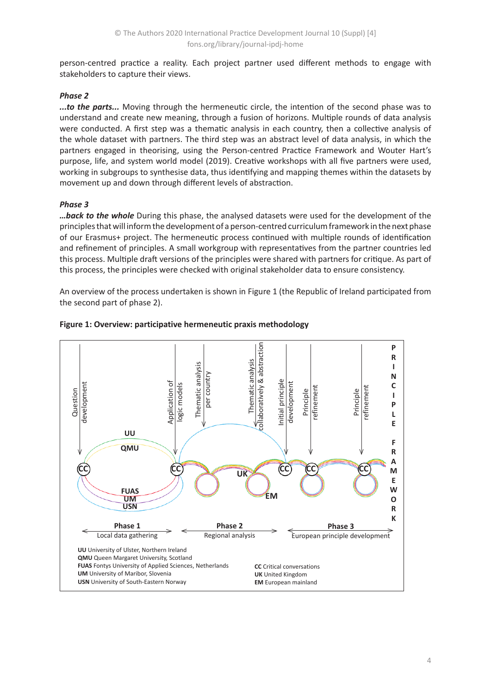person-centred practice a reality. Each project partner used different methods to engage with stakeholders to capture their views.

# *Phase 2*

*...to the parts...* Moving through the hermeneutic circle, the intention of the second phase was to understand and create new meaning, through a fusion of horizons. Multiple rounds of data analysis were conducted. A first step was a thematic analysis in each country, then a collective analysis of the whole dataset with partners. The third step was an abstract level of data analysis, in which the partners engaged in theorising, using the Person-centred Practice Framework and Wouter Hart's purpose, life, and system world model (2019). Creative workshops with all five partners were used, working in subgroups to synthesise data, thus identifying and mapping themes within the datasets by movement up and down through different levels of abstraction.

## *Phase 3*

*…back to the whole* During this phase, the analysed datasets were used for the development of the principles that will inform the development of a person-centred curriculum framework in the next phase of our Erasmus+ project. The hermeneutic process continued with multiple rounds of identification and refinement of principles. A small workgroup with representatives from the partner countries led this process. Multiple draft versions of the principles were shared with partners for critique. As part of this process, the principles were checked with original stakeholder data to ensure consistency.

An overview of the process undertaken is shown in Figure 1 (the Republic of Ireland participated from the second part of phase 2).



#### **Figure 1: Overview: participative hermeneutic praxis methodology**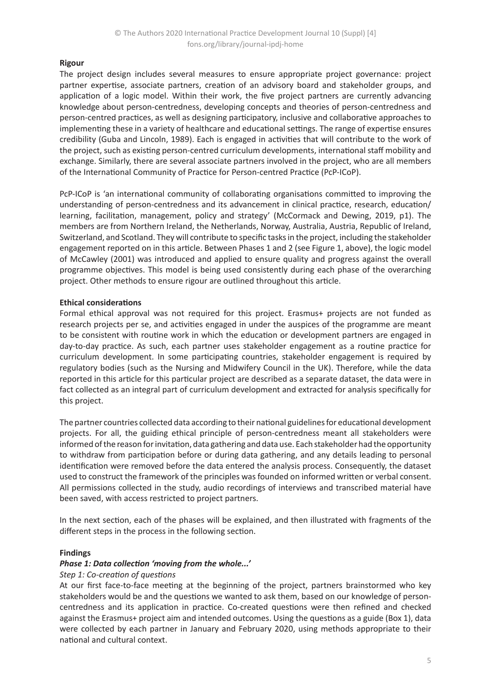## **Rigour**

The project design includes several measures to ensure appropriate project governance: project partner expertise, associate partners, creation of an advisory board and stakeholder groups, and application of a logic model. Within their work, the five project partners are currently advancing knowledge about person-centredness, developing concepts and theories of person-centredness and person-centred practices, as well as designing participatory, inclusive and collaborative approaches to implementing these in a variety of healthcare and educational settings. The range of expertise ensures credibility (Guba and Lincoln, 1989). Each is engaged in activities that will contribute to the work of the project, such as existing person-centred curriculum developments, international staff mobility and exchange. Similarly, there are several associate partners involved in the project, who are all members of the International Community of Practice for Person-centred Practice (PcP-ICoP).

PcP-ICoP is 'an international community of collaborating organisations committed to improving the understanding of person-centredness and its advancement in clinical practice, research, education/ learning, facilitation, management, policy and strategy' (McCormack and Dewing, 2019, p1). The members are from Northern Ireland, the Netherlands, Norway, Australia, Austria, Republic of Ireland, Switzerland, and Scotland. They will contribute to specific tasks in the project, including the stakeholder engagement reported on in this article. Between Phases 1 and 2 (see Figure 1, above), the logic model of McCawley (2001) was introduced and applied to ensure quality and progress against the overall programme objectives. This model is being used consistently during each phase of the overarching project. Other methods to ensure rigour are outlined throughout this article.

## **Ethical considerations**

Formal ethical approval was not required for this project. Erasmus+ projects are not funded as research projects per se, and activities engaged in under the auspices of the programme are meant to be consistent with routine work in which the education or development partners are engaged in day-to-day practice. As such, each partner uses stakeholder engagement as a routine practice for curriculum development. In some participating countries, stakeholder engagement is required by regulatory bodies (such as the Nursing and Midwifery Council in the UK). Therefore, while the data reported in this article for this particular project are described as a separate dataset, the data were in fact collected as an integral part of curriculum development and extracted for analysis specifically for this project.

The partner countries collected data according to their national guidelines for educational development projects. For all, the guiding ethical principle of person-centredness meant all stakeholders were informed of the reason for invitation, data gathering and data use. Each stakeholder had the opportunity to withdraw from participation before or during data gathering, and any details leading to personal identification were removed before the data entered the analysis process. Consequently, the dataset used to construct the framework of the principles was founded on informed written or verbal consent. All permissions collected in the study, audio recordings of interviews and transcribed material have been saved, with access restricted to project partners.

In the next section, each of the phases will be explained, and then illustrated with fragments of the different steps in the process in the following section.

#### **Findings**

#### *Phase 1: Data collection 'moving from the whole...'*

#### *Step 1: Co-creation of questions*

At our first face-to-face meeting at the beginning of the project, partners brainstormed who key stakeholders would be and the questions we wanted to ask them, based on our knowledge of personcentredness and its application in practice. Co-created questions were then refined and checked against the Erasmus+ project aim and intended outcomes. Using the questions as a guide (Box 1), data were collected by each partner in January and February 2020, using methods appropriate to their national and cultural context.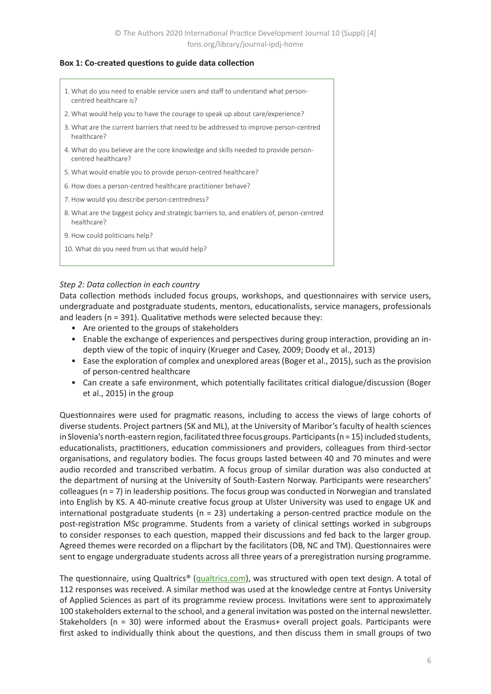#### **Box 1: Co-created questions to guide data collection**

- 1. What do you need to enable service users and staff to understand what personcentred healthcare is?
- 2. What would help you to have the courage to speak up about care/experience?
- 3. What are the current barriers that need to be addressed to improve person-centred healthcare?
- 4. What do you believe are the core knowledge and skills needed to provide personcentred healthcare?
- 5. What would enable you to provide person-centred healthcare?
- 6. How does a person-centred healthcare practitioner behave?
- 7. How would you describe person-centredness?
- 8. What are the biggest policy and strategic barriers to, and enablers of, person-centred healthcare?
- 9. How could politicians help?
- 10. What do you need from us that would help?

## *Step 2: Data collection in each country*

Data collection methods included focus groups, workshops, and questionnaires with service users, undergraduate and postgraduate students, mentors, educationalists, service managers, professionals and leaders (n = 391). Qualitative methods were selected because they:

- Are oriented to the groups of stakeholders
- Enable the exchange of experiences and perspectives during group interaction, providing an indepth view of the topic of inquiry (Krueger and Casey, 2009; Doody et al., 2013)
- Ease the exploration of complex and unexplored areas (Boger et al., 2015), such as the provision of person-centred healthcare
- Can create a safe environment, which potentially facilitates critical dialogue/discussion (Boger et al., 2015) in the group

Questionnaires were used for pragmatic reasons, including to access the views of large cohorts of diverse students. Project partners (SK and ML), at the University of Maribor's faculty of health sciences in Slovenia's north-eastern region, facilitated three focus groups. Participants (n = 15) included students, educationalists, practitioners, education commissioners and providers, colleagues from third-sector organisations, and regulatory bodies. The focus groups lasted between 40 and 70 minutes and were audio recorded and transcribed verbatim. A focus group of similar duration was also conducted at the department of nursing at the University of South-Eastern Norway. Participants were researchers' colleagues ( $n = 7$ ) in leadership positions. The focus group was conducted in Norwegian and translated into English by KS. A 40-minute creative focus group at Ulster University was used to engage UK and international postgraduate students ( $n = 23$ ) undertaking a person-centred practice module on the post-registration MSc programme. Students from a variety of clinical settings worked in subgroups to consider responses to each question, mapped their discussions and fed back to the larger group. Agreed themes were recorded on a flipchart by the facilitators (DB, NC and TM). Questionnaires were sent to engage undergraduate students across all three years of a preregistration nursing programme.

The questionnaire, using Qualtrics® ([qualtrics.com\)](https://www.qualtrics.com), was structured with open text design. A total of 112 responses was received. A similar method was used at the knowledge centre at Fontys University of Applied Sciences as part of its programme review process. Invitations were sent to approximately 100 stakeholders external to the school, and a general invitation was posted on the internal newsletter. Stakeholders (n = 30) were informed about the Erasmus+ overall project goals. Participants were first asked to individually think about the questions, and then discuss them in small groups of two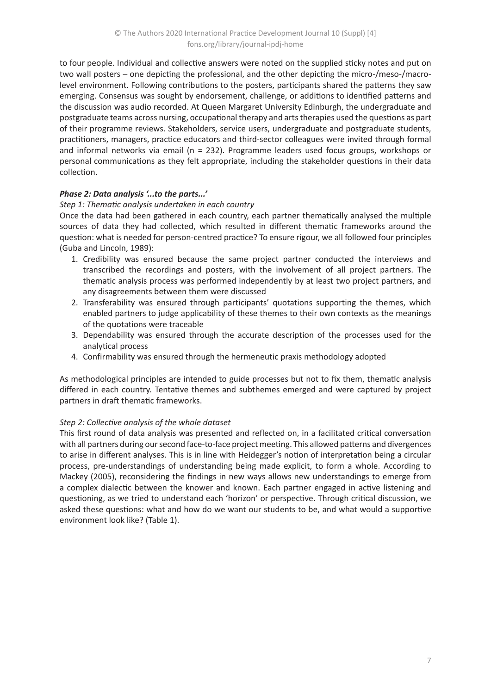to four people. Individual and collective answers were noted on the supplied sticky notes and put on two wall posters – one depicting the professional, and the other depicting the micro-/meso-/macrolevel environment. Following contributions to the posters, participants shared the patterns they saw emerging. Consensus was sought by endorsement, challenge, or additions to identified patterns and the discussion was audio recorded. At Queen Margaret University Edinburgh, the undergraduate and postgraduate teams across nursing, occupational therapy and arts therapies used the questions as part of their programme reviews. Stakeholders, service users, undergraduate and postgraduate students, practitioners, managers, practice educators and third-sector colleagues were invited through formal and informal networks via email (n = 232). Programme leaders used focus groups, workshops or personal communications as they felt appropriate, including the stakeholder questions in their data collection.

# *Phase 2: Data analysis '...to the parts...'*

## *Step 1: Thematic analysis undertaken in each country*

Once the data had been gathered in each country, each partner thematically analysed the multiple sources of data they had collected, which resulted in different thematic frameworks around the question: what is needed for person-centred practice? To ensure rigour, we all followed four principles (Guba and Lincoln, 1989):

- 1. Credibility was ensured because the same project partner conducted the interviews and transcribed the recordings and posters, with the involvement of all project partners. The thematic analysis process was performed independently by at least two project partners, and any disagreements between them were discussed
- 2. Transferability was ensured through participants' quotations supporting the themes, which enabled partners to judge applicability of these themes to their own contexts as the meanings of the quotations were traceable
- 3. Dependability was ensured through the accurate description of the processes used for the analytical process
- 4. Confirmability was ensured through the hermeneutic praxis methodology adopted

As methodological principles are intended to guide processes but not to fix them, thematic analysis differed in each country. Tentative themes and subthemes emerged and were captured by project partners in draft thematic frameworks.

## *Step 2: Collective analysis of the whole dataset*

This first round of data analysis was presented and reflected on, in a facilitated critical conversation with all partners during our second face-to-face project meeting. This allowed patterns and divergences to arise in different analyses. This is in line with Heidegger's notion of interpretation being a circular process, pre-understandings of understanding being made explicit, to form a whole. According to Mackey (2005), reconsidering the findings in new ways allows new understandings to emerge from a complex dialectic between the knower and known. Each partner engaged in active listening and questioning, as we tried to understand each 'horizon' or perspective. Through critical discussion, we asked these questions: what and how do we want our students to be, and what would a supportive environment look like? (Table 1).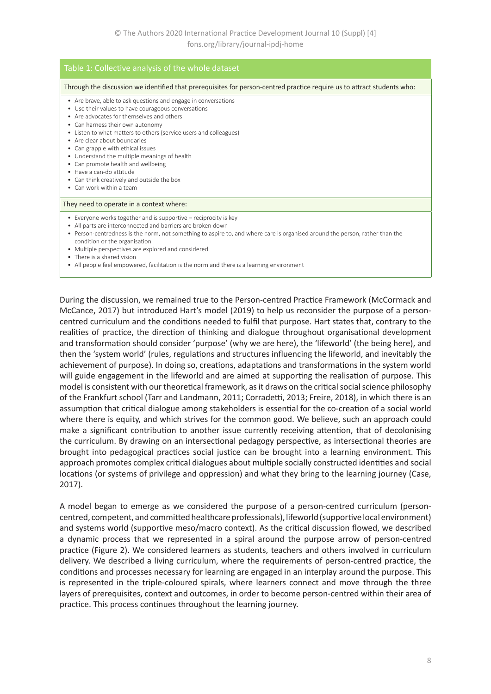#### Through the discussion we identified that prerequisites for person-centred practice require us to attract students who: • Are brave, able to ask questions and engage in conversations • Use their values to have courageous conversations • Are advocates for themselves and others • Can harness their own autonomy • Listen to what matters to others (service users and colleagues) • Are clear about boundaries • Can grapple with ethical issues • Understand the multiple meanings of health • Can promote health and wellbeing • Have a can-do attitude • Can think creatively and outside the box • Can work within a team They need to operate in a context where: • Everyone works together and is supportive – reciprocity is key • All parts are interconnected and barriers are broken down • Person-centredness is the norm, not something to aspire to, and where care is organised around the person, rather than the condition or the organisation • Multiple perspectives are explored and considered • There is a shared vision • All people feel empowered, facilitation is the norm and there is a learning environment

During the discussion, we remained true to the Person-centred Practice Framework (McCormack and McCance, 2017) but introduced Hart's model (2019) to help us reconsider the purpose of a personcentred curriculum and the conditions needed to fulfil that purpose. Hart states that, contrary to the realities of practice, the direction of thinking and dialogue throughout organisational development and transformation should consider 'purpose' (why we are here), the 'lifeworld' (the being here), and then the 'system world' (rules, regulations and structures influencing the lifeworld, and inevitably the achievement of purpose). In doing so, creations, adaptations and transformations in the system world will guide engagement in the lifeworld and are aimed at supporting the realisation of purpose. This model is consistent with our theoretical framework, as it draws on the critical social science philosophy of the Frankfurt school (Tarr and Landmann, 2011; Corradetti, 2013; Freire, 2018), in which there is an assumption that critical dialogue among stakeholders is essential for the co-creation of a social world where there is equity, and which strives for the common good. We believe, such an approach could make a significant contribution to another issue currently receiving attention, that of decolonising the curriculum. By drawing on an intersectional pedagogy perspective, as intersectional theories are brought into pedagogical practices social justice can be brought into a learning environment. This approach promotes complex critical dialogues about multiple socially constructed identities and social locations (or systems of privilege and oppression) and what they bring to the learning journey (Case, 2017).

A model began to emerge as we considered the purpose of a person-centred curriculum (personcentred, competent, and committed healthcare professionals), lifeworld (supportive local environment) and systems world (supportive meso/macro context). As the critical discussion flowed, we described a dynamic process that we represented in a spiral around the purpose arrow of person-centred practice (Figure 2). We considered learners as students, teachers and others involved in curriculum delivery. We described a living curriculum, where the requirements of person-centred practice, the conditions and processes necessary for learning are engaged in an interplay around the purpose. This is represented in the triple-coloured spirals, where learners connect and move through the three layers of prerequisites, context and outcomes, in order to become person-centred within their area of practice. This process continues throughout the learning journey.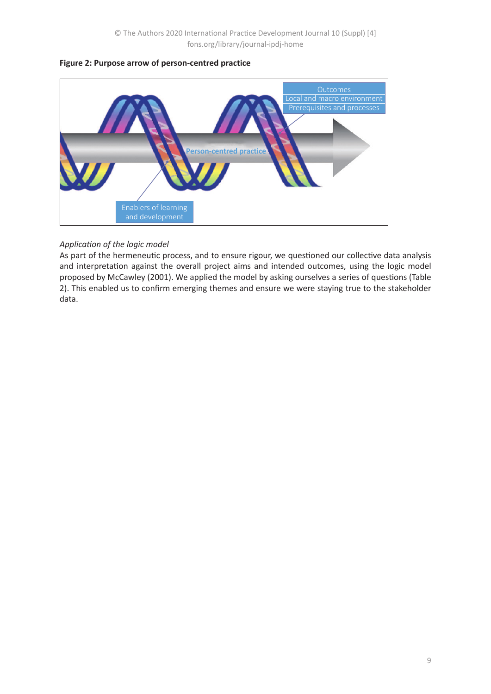

### **Figure 2: Purpose arrow of person-centred practice**

## *Application of the logic model*

As part of the hermeneutic process, and to ensure rigour, we questioned our collective data analysis and interpretation against the overall project aims and intended outcomes, using the logic model proposed by McCawley (2001). We applied the model by asking ourselves a series of questions (Table 2). This enabled us to confirm emerging themes and ensure we were staying true to the stakeholder data.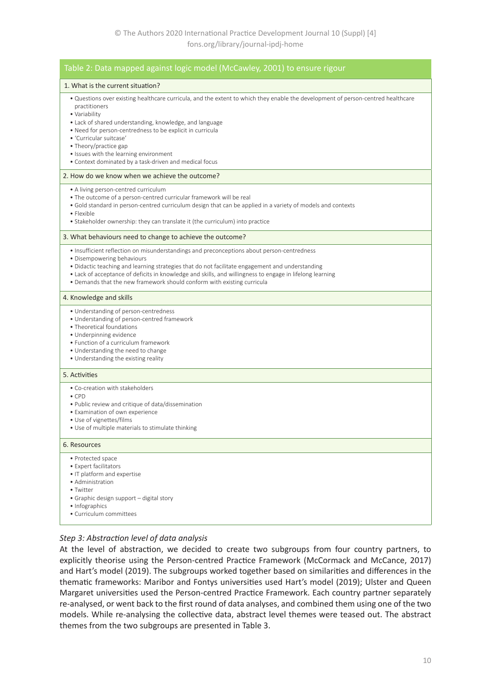| Table 2: Data mapped against logic model (McCawley, 2001) to ensure rigour                                                                                                                                                                                                                                                                                                                                                                         |
|----------------------------------------------------------------------------------------------------------------------------------------------------------------------------------------------------------------------------------------------------------------------------------------------------------------------------------------------------------------------------------------------------------------------------------------------------|
| 1. What is the current situation?                                                                                                                                                                                                                                                                                                                                                                                                                  |
| . Questions over existing healthcare curricula, and the extent to which they enable the development of person-centred healthcare<br>practitioners<br>· Variability<br>• Lack of shared understanding, knowledge, and language<br>. Need for person-centredness to be explicit in curricula<br>• 'Curricular suitcase'<br>• Theory/practice gap<br>• Issues with the learning environment<br>• Context dominated by a task-driven and medical focus |
| 2. How do we know when we achieve the outcome?                                                                                                                                                                                                                                                                                                                                                                                                     |
| • A living person-centred curriculum<br>• The outcome of a person-centred curricular framework will be real<br>• Gold standard in person-centred curriculum design that can be applied in a variety of models and contexts<br>• Flexible<br>• Stakeholder ownership: they can translate it (the curriculum) into practice                                                                                                                          |
| 3. What behaviours need to change to achieve the outcome?                                                                                                                                                                                                                                                                                                                                                                                          |
| · Insufficient reflection on misunderstandings and preconceptions about person-centredness<br>• Disempowering behaviours<br>• Didactic teaching and learning strategies that do not facilitate engagement and understanding<br>• Lack of acceptance of deficits in knowledge and skills, and willingness to engage in lifelong learning<br>• Demands that the new framework should conform with existing curricula                                 |
| 4. Knowledge and skills                                                                                                                                                                                                                                                                                                                                                                                                                            |
| • Understanding of person-centredness<br>• Understanding of person-centred framework<br>• Theoretical foundations<br>· Underpinning evidence<br>• Function of a curriculum framework<br>• Understanding the need to change<br>• Understanding the existing reality                                                                                                                                                                                 |
| 5. Activities                                                                                                                                                                                                                                                                                                                                                                                                                                      |
| • Co-creation with stakeholders<br>$\bullet$ CPD<br>. Public review and critique of data/dissemination<br>• Examination of own experience<br>• Use of vignettes/films<br>• Use of multiple materials to stimulate thinking                                                                                                                                                                                                                         |
| 6. Resources                                                                                                                                                                                                                                                                                                                                                                                                                                       |
| • Protected space<br>• Expert facilitators<br>• IT platform and expertise<br>• Administration<br>• Twitter<br>• Graphic design support - digital story<br>• Infographics<br>· Curriculum committees                                                                                                                                                                                                                                                |

#### *Step 3: Abstraction level of data analysis*

At the level of abstraction, we decided to create two subgroups from four country partners, to explicitly theorise using the Person-centred Practice Framework (McCormack and McCance, 2017) and Hart's model (2019). The subgroups worked together based on similarities and differences in the thematic frameworks: Maribor and Fontys universities used Hart's model (2019); Ulster and Queen Margaret universities used the Person-centred Practice Framework. Each country partner separately re-analysed, or went back to the first round of data analyses, and combined them using one of the two models. While re-analysing the collective data, abstract level themes were teased out. The abstract themes from the two subgroups are presented in Table 3.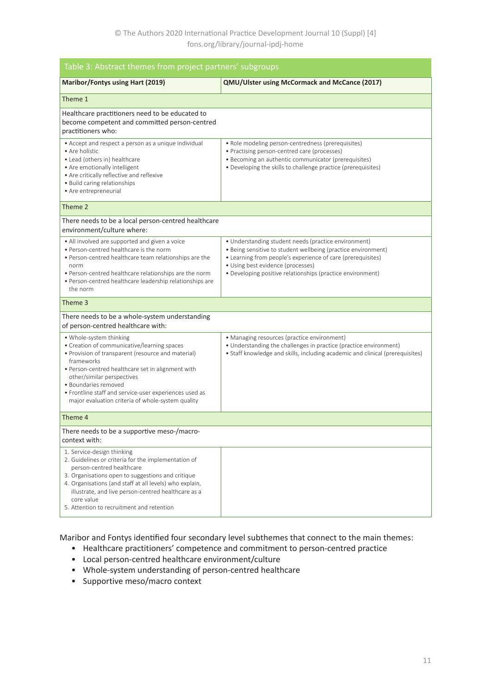| Table 3: Abstract themes from project partners' subgroups                                                                                                                                                                                                                                                                                                            |                                                                                                                                                                                                                                                                                         |  |  |
|----------------------------------------------------------------------------------------------------------------------------------------------------------------------------------------------------------------------------------------------------------------------------------------------------------------------------------------------------------------------|-----------------------------------------------------------------------------------------------------------------------------------------------------------------------------------------------------------------------------------------------------------------------------------------|--|--|
| Maribor/Fontys using Hart (2019)                                                                                                                                                                                                                                                                                                                                     | QMU/Ulster using McCormack and McCance (2017)                                                                                                                                                                                                                                           |  |  |
| Theme 1                                                                                                                                                                                                                                                                                                                                                              |                                                                                                                                                                                                                                                                                         |  |  |
| Healthcare practitioners need to be educated to<br>become competent and committed person-centred<br>practitioners who:                                                                                                                                                                                                                                               |                                                                                                                                                                                                                                                                                         |  |  |
| • Accept and respect a person as a unique individual<br>• Are holistic<br>• Lead (others in) healthcare<br>• Are emotionally intelligent<br>• Are critically reflective and reflexive<br>• Build caring relationships<br>• Are entrepreneurial                                                                                                                       | • Role modeling person-centredness (prerequisites)<br>• Practising person-centred care (processes)<br>• Becoming an authentic communicator (prerequisites)<br>• Developing the skills to challenge practice (prerequisites)                                                             |  |  |
| Theme 2                                                                                                                                                                                                                                                                                                                                                              |                                                                                                                                                                                                                                                                                         |  |  |
| There needs to be a local person-centred healthcare<br>environment/culture where:                                                                                                                                                                                                                                                                                    |                                                                                                                                                                                                                                                                                         |  |  |
| • All involved are supported and given a voice<br>• Person-centred healthcare is the norm<br>• Person-centred healthcare team relationships are the<br>norm<br>. Person-centred healthcare relationships are the norm<br>· Person-centred healthcare leadership relationships are<br>the norm                                                                        | • Understanding student needs (practice environment)<br>• Being sensitive to student wellbeing (practice environment)<br>• Learning from people's experience of care (prerequisites)<br>• Using best evidence (processes)<br>• Developing positive relationships (practice environment) |  |  |
| Theme 3                                                                                                                                                                                                                                                                                                                                                              |                                                                                                                                                                                                                                                                                         |  |  |
| There needs to be a whole-system understanding<br>of person-centred healthcare with:                                                                                                                                                                                                                                                                                 |                                                                                                                                                                                                                                                                                         |  |  |
| • Whole-system thinking<br>• Creation of communicative/learning spaces<br>• Provision of transparent (resource and material)<br>frameworks<br>• Person-centred healthcare set in alignment with<br>other/similar perspectives<br>· Boundaries removed<br>• Frontline staff and service-user experiences used as<br>major evaluation criteria of whole-system quality | • Managing resources (practice environment)<br>• Understanding the challenges in practice (practice environment)<br>• Staff knowledge and skills, including academic and clinical (prerequisites)                                                                                       |  |  |
| Theme 4                                                                                                                                                                                                                                                                                                                                                              |                                                                                                                                                                                                                                                                                         |  |  |
| There needs to be a supportive meso-/macro-<br>context with:                                                                                                                                                                                                                                                                                                         |                                                                                                                                                                                                                                                                                         |  |  |
| 1. Service-design thinking<br>2. Guidelines or criteria for the implementation of<br>person-centred healthcare<br>3. Organisations open to suggestions and critique<br>4. Organisations (and staff at all levels) who explain,<br>illustrate, and live person-centred healthcare as a<br>core value<br>5. Attention to recruitment and retention                     |                                                                                                                                                                                                                                                                                         |  |  |

Maribor and Fontys identified four secondary level subthemes that connect to the main themes:

- Healthcare practitioners' competence and commitment to person-centred practice
- Local person-centred healthcare environment/culture
- Whole-system understanding of person-centred healthcare
- Supportive meso/macro context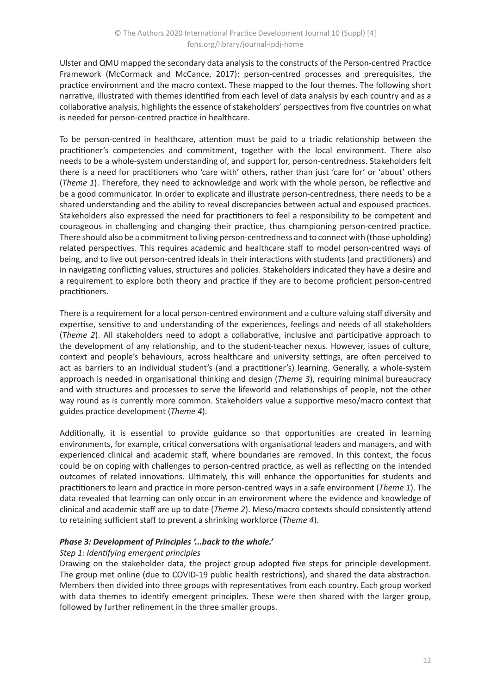Ulster and QMU mapped the secondary data analysis to the constructs of the Person-centred Practice Framework (McCormack and McCance, 2017): person-centred processes and prerequisites, the practice environment and the macro context. These mapped to the four themes. The following short narrative, illustrated with themes identified from each level of data analysis by each country and as a collaborative analysis, highlights the essence of stakeholders' perspectives from five countries on what is needed for person-centred practice in healthcare.

To be person-centred in healthcare, attention must be paid to a triadic relationship between the practitioner's competencies and commitment, together with the local environment. There also needs to be a whole-system understanding of, and support for, person-centredness. Stakeholders felt there is a need for practitioners who 'care with' others, rather than just 'care for' or 'about' others (*Theme 1*). Therefore, they need to acknowledge and work with the whole person, be reflective and be a good communicator. In order to explicate and illustrate person-centredness, there needs to be a shared understanding and the ability to reveal discrepancies between actual and espoused practices. Stakeholders also expressed the need for practitioners to feel a responsibility to be competent and courageous in challenging and changing their practice, thus championing person-centred practice. There should also be a commitment to living person-centredness and to connect with (those upholding) related perspectives. This requires academic and healthcare staff to model person-centred ways of being, and to live out person-centred ideals in their interactions with students (and practitioners) and in navigating conflicting values, structures and policies. Stakeholders indicated they have a desire and a requirement to explore both theory and practice if they are to become proficient person-centred practitioners.

There is a requirement for a local person-centred environment and a culture valuing staff diversity and expertise, sensitive to and understanding of the experiences, feelings and needs of all stakeholders (*Theme 2*). All stakeholders need to adopt a collaborative, inclusive and participative approach to the development of any relationship, and to the student-teacher nexus. However, issues of culture, context and people's behaviours, across healthcare and university settings, are often perceived to act as barriers to an individual student's (and a practitioner's) learning. Generally, a whole-system approach is needed in organisational thinking and design (*Theme 3*), requiring minimal bureaucracy and with structures and processes to serve the lifeworld and relationships of people, not the other way round as is currently more common. Stakeholders value a supportive meso/macro context that guides practice development (*Theme 4*).

Additionally, it is essential to provide guidance so that opportunities are created in learning environments, for example, critical conversations with organisational leaders and managers, and with experienced clinical and academic staff, where boundaries are removed. In this context, the focus could be on coping with challenges to person-centred practice, as well as reflecting on the intended outcomes of related innovations. Ultimately, this will enhance the opportunities for students and practitioners to learn and practice in more person-centred ways in a safe environment (*Theme 1*). The data revealed that learning can only occur in an environment where the evidence and knowledge of clinical and academic staff are up to date (*Theme 2*). Meso/macro contexts should consistently attend to retaining sufficient staff to prevent a shrinking workforce (*Theme 4*).

## *Phase 3: Development of Principles '...back to the whole.'*

## *Step 1: Identifying emergent principles*

Drawing on the stakeholder data, the project group adopted five steps for principle development. The group met online (due to COVID-19 public health restrictions), and shared the data abstraction. Members then divided into three groups with representatives from each country. Each group worked with data themes to identify emergent principles. These were then shared with the larger group, followed by further refinement in the three smaller groups.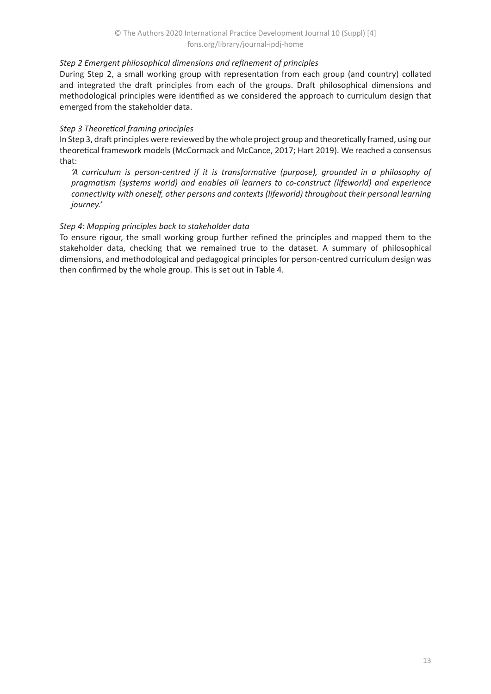## *Step 2 Emergent philosophical dimensions and refinement of principles*

During Step 2, a small working group with representation from each group (and country) collated and integrated the draft principles from each of the groups. Draft philosophical dimensions and methodological principles were identified as we considered the approach to curriculum design that emerged from the stakeholder data.

## *Step 3 Theoretical framing principles*

In Step 3, draft principles were reviewed by the whole project group and theoretically framed, using our theoretical framework models (McCormack and McCance, 2017; Hart 2019). We reached a consensus that:

*'A curriculum is person-centred if it is transformative (purpose), grounded in a philosophy of pragmatism (systems world) and enables all learners to co-construct (lifeworld) and experience connectivity with oneself, other persons and contexts (lifeworld) throughout their personal learning journey.'*

## *Step 4: Mapping principles back to stakeholder data*

To ensure rigour, the small working group further refined the principles and mapped them to the stakeholder data, checking that we remained true to the dataset. A summary of philosophical dimensions, and methodological and pedagogical principles for person-centred curriculum design was then confirmed by the whole group. This is set out in Table 4.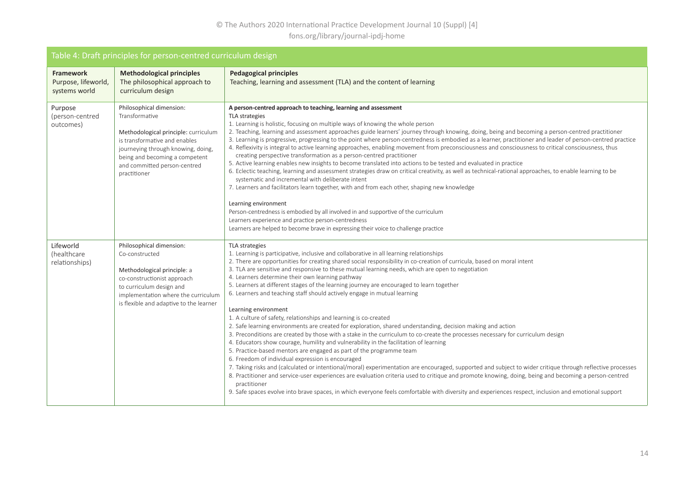## © The Authors 2020 International Practice Development Journal 10 (Suppl) [4] fons.org/library/journal-ipdj-home

| Table 4: Draft principles for person-centred curriculum design |                                                                                                                                                                                                                                             |                                                                                                                                                                                                                                                                                                                                                                                                                                                                                                                                                                                                                                                                                                                                                                                                                                                                                                                                                                                                                                                                                                                                                                                                                                                                                                                                                                                                                                                                                                                                                                                                                                         |  |
|----------------------------------------------------------------|---------------------------------------------------------------------------------------------------------------------------------------------------------------------------------------------------------------------------------------------|-----------------------------------------------------------------------------------------------------------------------------------------------------------------------------------------------------------------------------------------------------------------------------------------------------------------------------------------------------------------------------------------------------------------------------------------------------------------------------------------------------------------------------------------------------------------------------------------------------------------------------------------------------------------------------------------------------------------------------------------------------------------------------------------------------------------------------------------------------------------------------------------------------------------------------------------------------------------------------------------------------------------------------------------------------------------------------------------------------------------------------------------------------------------------------------------------------------------------------------------------------------------------------------------------------------------------------------------------------------------------------------------------------------------------------------------------------------------------------------------------------------------------------------------------------------------------------------------------------------------------------------------|--|
| Framework<br>Purpose, lifeworld,<br>systems world              | <b>Methodological principles</b><br>The philosophical approach to<br>curriculum design                                                                                                                                                      | <b>Pedagogical principles</b><br>Teaching, learning and assessment (TLA) and the content of learning                                                                                                                                                                                                                                                                                                                                                                                                                                                                                                                                                                                                                                                                                                                                                                                                                                                                                                                                                                                                                                                                                                                                                                                                                                                                                                                                                                                                                                                                                                                                    |  |
| Purpose<br>(person-centred<br>outcomes)                        | Philosophical dimension:<br>Transformative<br>Methodological principle: curriculum<br>is transformative and enables<br>journeying through knowing, doing,<br>being and becoming a competent<br>and committed person-centred<br>practitioner | A person-centred approach to teaching, learning and assessment<br>TLA strategies<br>1. Learning is holistic, focusing on multiple ways of knowing the whole person<br>2. Teaching, learning and assessment approaches guide learners' journey through knowing, doing, being and becoming a person-centred practitioner<br>3. Learning is progressive, progressing to the point where person-centredness is embodied as a learner, practitioner and leader of person-centred practice<br>4. Reflexivity is integral to active learning approaches, enabling movement from preconsciousness and consciousness to critical consciousness, thus<br>creating perspective transformation as a person-centred practitioner<br>5. Active learning enables new insights to become translated into actions to be tested and evaluated in practice<br>6. Eclectic teaching, learning and assessment strategies draw on critical creativity, as well as technical-rational approaches, to enable learning to be<br>systematic and incremental with deliberate intent<br>7. Learners and facilitators learn together, with and from each other, shaping new knowledge<br>Learning environment<br>Person-centredness is embodied by all involved in and supportive of the curriculum<br>Learners experience and practice person-centredness<br>Learners are helped to become brave in expressing their voice to challenge practice                                                                                                                                                                                                                    |  |
| Lifeworld<br>(healthcare<br>relationships)                     | Philosophical dimension:<br>Co-constructed<br>Methodological principle: a<br>co-constructionist approach<br>to curriculum design and<br>implementation where the curriculum<br>is flexible and adaptive to the learner                      | TLA strategies<br>1. Learning is participative, inclusive and collaborative in all learning relationships<br>2. There are opportunities for creating shared social responsibility in co-creation of curricula, based on moral intent<br>3. TLA are sensitive and responsive to these mutual learning needs, which are open to negotiation<br>4. Learners determine their own learning pathway<br>5. Learners at different stages of the learning journey are encouraged to learn together<br>6. Learners and teaching staff should actively engage in mutual learning<br>Learning environment<br>1. A culture of safety, relationships and learning is co-created<br>2. Safe learning environments are created for exploration, shared understanding, decision making and action<br>3. Preconditions are created by those with a stake in the curriculum to co-create the processes necessary for curriculum design<br>4. Educators show courage, humility and vulnerability in the facilitation of learning<br>5. Practice-based mentors are engaged as part of the programme team<br>6. Freedom of individual expression is encouraged<br>7. Taking risks and (calculated or intentional/moral) experimentation are encouraged, supported and subject to wider critique through reflective processes<br>8. Practitioner and service-user experiences are evaluation criteria used to critique and promote knowing, doing, being and becoming a person-centred<br>practitioner<br>9. Safe spaces evolve into brave spaces, in which everyone feels comfortable with diversity and experiences respect, inclusion and emotional support |  |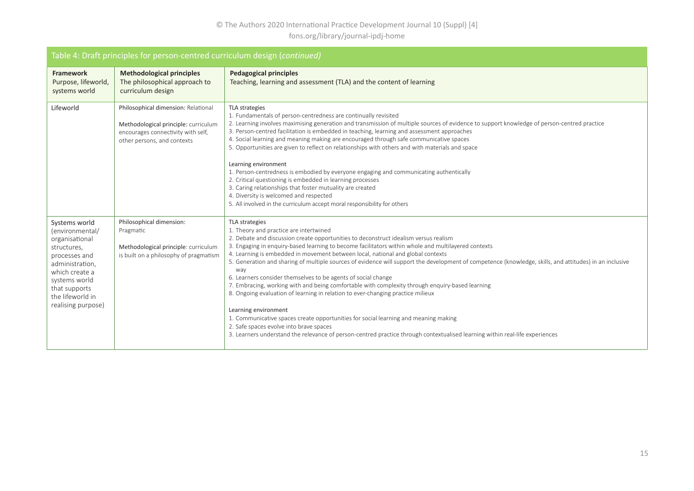## © The Authors 2020 International Practice Development Journal 10 (Suppl) [4] fons.org/library/journal-ipdj-home

| Table 4: Draft principles for person-centred curriculum design (continued)                                                                                                                          |                                                                                                                                                  |                                                                                                                                                                                                                                                                                                                                                                                                                                                                                                                                                                                                                                                                                                                                                                                                                                                                                                                                                                                                                                                               |  |
|-----------------------------------------------------------------------------------------------------------------------------------------------------------------------------------------------------|--------------------------------------------------------------------------------------------------------------------------------------------------|---------------------------------------------------------------------------------------------------------------------------------------------------------------------------------------------------------------------------------------------------------------------------------------------------------------------------------------------------------------------------------------------------------------------------------------------------------------------------------------------------------------------------------------------------------------------------------------------------------------------------------------------------------------------------------------------------------------------------------------------------------------------------------------------------------------------------------------------------------------------------------------------------------------------------------------------------------------------------------------------------------------------------------------------------------------|--|
| <b>Framework</b><br>Purpose, lifeworld,<br>systems world                                                                                                                                            | <b>Methodological principles</b><br>The philosophical approach to<br>curriculum design                                                           | <b>Pedagogical principles</b><br>Teaching, learning and assessment (TLA) and the content of learning                                                                                                                                                                                                                                                                                                                                                                                                                                                                                                                                                                                                                                                                                                                                                                                                                                                                                                                                                          |  |
| Lifeworld                                                                                                                                                                                           | Philosophical dimension: Relational<br>Methodological principle: curriculum<br>encourages connectivity with self,<br>other persons, and contexts | TLA strategies<br>1. Fundamentals of person-centredness are continually revisited<br>2. Learning involves maximising generation and transmission of multiple sources of evidence to support knowledge of person-centred practice<br>3. Person-centred facilitation is embedded in teaching, learning and assessment approaches<br>4. Social learning and meaning making are encouraged through safe communicative spaces<br>5. Opportunities are given to reflect on relationships with others and with materials and space<br>Learning environment<br>1. Person-centredness is embodied by everyone engaging and communicating authentically<br>2. Critical questioning is embedded in learning processes<br>3. Caring relationships that foster mutuality are created<br>4. Diversity is welcomed and respected<br>5. All involved in the curriculum accept moral responsibility for others                                                                                                                                                                 |  |
| Systems world<br>(environmental/<br>organisational<br>structures,<br>processes and<br>administration,<br>which create a<br>systems world<br>that supports<br>the lifeworld in<br>realising purpose) | Philosophical dimension:<br>Pragmatic<br>Methodological principle: curriculum<br>is built on a philosophy of pragmatism                          | TLA strategies<br>1. Theory and practice are intertwined<br>2. Debate and discussion create opportunities to deconstruct idealism versus realism<br>3. Engaging in enquiry-based learning to become facilitators within whole and multilayered contexts<br>4. Learning is embedded in movement between local, national and global contexts<br>5. Generation and sharing of multiple sources of evidence will support the development of competence (knowledge, skills, and attitudes) in an inclusive<br>way<br>6. Learners consider themselves to be agents of social change<br>7. Embracing, working with and being comfortable with complexity through enquiry-based learning<br>8. Ongoing evaluation of learning in relation to ever-changing practice milieux<br>Learning environment<br>1. Communicative spaces create opportunities for social learning and meaning making<br>2. Safe spaces evolve into brave spaces<br>3. Learners understand the relevance of person-centred practice through contextualised learning within real-life experiences |  |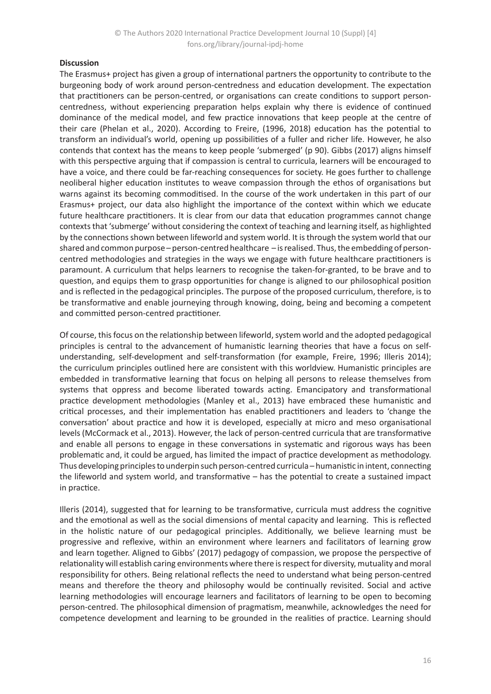### **Discussion**

The Erasmus+ project has given a group of international partners the opportunity to contribute to the burgeoning body of work around person-centredness and education development. The expectation that practitioners can be person-centred, or organisations can create conditions to support personcentredness, without experiencing preparation helps explain why there is evidence of continued dominance of the medical model, and few practice innovations that keep people at the centre of their care (Phelan et al., 2020). According to Freire, (1996, 2018) education has the potential to transform an individual's world, opening up possibilities of a fuller and richer life. However, he also contends that context has the means to keep people 'submerged' (p 90). Gibbs (2017) aligns himself with this perspective arguing that if compassion is central to curricula, learners will be encouraged to have a voice, and there could be far-reaching consequences for society. He goes further to challenge neoliberal higher education institutes to weave compassion through the ethos of organisations but warns against its becoming commoditised. In the course of the work undertaken in this part of our Erasmus+ project, our data also highlight the importance of the context within which we educate future healthcare practitioners. It is clear from our data that education programmes cannot change contexts that 'submerge' without considering the context of teaching and learning itself, as highlighted by the connections shown between lifeworld and system world. It is through the system world that our shared and common purpose – person-centred healthcare – is realised. Thus, the embedding of personcentred methodologies and strategies in the ways we engage with future healthcare practitioners is paramount. A curriculum that helps learners to recognise the taken-for-granted, to be brave and to question, and equips them to grasp opportunities for change is aligned to our philosophical position and is reflected in the pedagogical principles. The purpose of the proposed curriculum, therefore, is to be transformative and enable journeying through knowing, doing, being and becoming a competent and committed person-centred practitioner.

Of course, this focus on the relationship between lifeworld, system world and the adopted pedagogical principles is central to the advancement of humanistic learning theories that have a focus on selfunderstanding, self-development and self-transformation (for example, Freire, 1996; Illeris 2014); the curriculum principles outlined here are consistent with this worldview. Humanistic principles are embedded in transformative learning that focus on helping all persons to release themselves from systems that oppress and become liberated towards acting. Emancipatory and transformational practice development methodologies (Manley et al., 2013) have embraced these humanistic and critical processes, and their implementation has enabled practitioners and leaders to 'change the conversation' about practice and how it is developed, especially at micro and meso organisational levels (McCormack et al., 2013). However, the lack of person-centred curricula that are transformative and enable all persons to engage in these conversations in systematic and rigorous ways has been problematic and, it could be argued, has limited the impact of practice development as methodology. Thus developing principles to underpin such person-centred curricula – humanistic in intent, connecting the lifeworld and system world, and transformative – has the potential to create a sustained impact in practice.

Illeris (2014), suggested that for learning to be transformative, curricula must address the cognitive and the emotional as well as the social dimensions of mental capacity and learning. This is reflected in the holistic nature of our pedagogical principles. Additionally, we believe learning must be progressive and reflexive, within an environment where learners and facilitators of learning grow and learn together. Aligned to Gibbs' (2017) pedagogy of compassion, we propose the perspective of relationality will establish caring environments where there is respect for diversity, mutuality and moral responsibility for others. Being relational reflects the need to understand what being person-centred means and therefore the theory and philosophy would be continually revisited. Social and active learning methodologies will encourage learners and facilitators of learning to be open to becoming person-centred. The philosophical dimension of pragmatism, meanwhile, acknowledges the need for competence development and learning to be grounded in the realities of practice. Learning should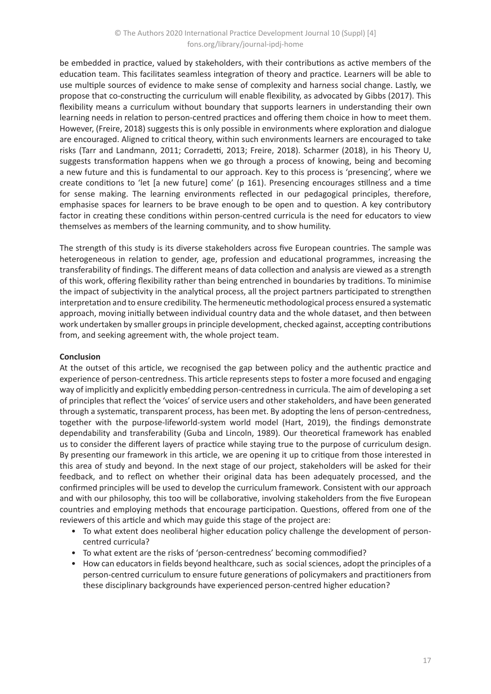be embedded in practice, valued by stakeholders, with their contributions as active members of the education team. This facilitates seamless integration of theory and practice. Learners will be able to use multiple sources of evidence to make sense of complexity and harness social change. Lastly, we propose that co-constructing the curriculum will enable flexibility, as advocated by Gibbs (2017). This flexibility means a curriculum without boundary that supports learners in understanding their own learning needs in relation to person-centred practices and offering them choice in how to meet them. However, (Freire, 2018) suggests this is only possible in environments where exploration and dialogue are encouraged. Aligned to critical theory, within such environments learners are encouraged to take risks (Tarr and Landmann, 2011; Corradetti, 2013; Freire, 2018). Scharmer (2018), in his Theory U, suggests transformation happens when we go through a process of knowing, being and becoming a new future and this is fundamental to our approach. Key to this process is 'presencing', where we create conditions to 'let [a new future] come' (p 161). Presencing encourages stillness and a time for sense making. The learning environments reflected in our pedagogical principles, therefore, emphasise spaces for learners to be brave enough to be open and to question. A key contributory factor in creating these conditions within person-centred curricula is the need for educators to view themselves as members of the learning community, and to show humility.

The strength of this study is its diverse stakeholders across five European countries. The sample was heterogeneous in relation to gender, age, profession and educational programmes, increasing the transferability of findings. The different means of data collection and analysis are viewed as a strength of this work, offering flexibility rather than being entrenched in boundaries by traditions. To minimise the impact of subjectivity in the analytical process, all the project partners participated to strengthen interpretation and to ensure credibility. The hermeneutic methodological process ensured a systematic approach, moving initially between individual country data and the whole dataset, and then between work undertaken by smaller groups in principle development, checked against, accepting contributions from, and seeking agreement with, the whole project team.

## **Conclusion**

At the outset of this article, we recognised the gap between policy and the authentic practice and experience of person-centredness. This article represents steps to foster a more focused and engaging way of implicitly and explicitly embedding person-centredness in curricula. The aim of developing a set of principles that reflect the 'voices' of service users and other stakeholders, and have been generated through a systematic, transparent process, has been met. By adopting the lens of person-centredness, together with the purpose-lifeworld-system world model (Hart, 2019), the findings demonstrate dependability and transferability (Guba and Lincoln, 1989). Our theoretical framework has enabled us to consider the different layers of practice while staying true to the purpose of curriculum design. By presenting our framework in this article, we are opening it up to critique from those interested in this area of study and beyond. In the next stage of our project, stakeholders will be asked for their feedback, and to reflect on whether their original data has been adequately processed, and the confirmed principles will be used to develop the curriculum framework. Consistent with our approach and with our philosophy, this too will be collaborative, involving stakeholders from the five European countries and employing methods that encourage participation. Questions, offered from one of the reviewers of this article and which may guide this stage of the project are:

- To what extent does neoliberal higher education policy challenge the development of personcentred curricula?
- To what extent are the risks of 'person-centredness' becoming commodified?
- How can educators in fields beyond healthcare, such as social sciences, adopt the principles of a person-centred curriculum to ensure future generations of policymakers and practitioners from these disciplinary backgrounds have experienced person-centred higher education?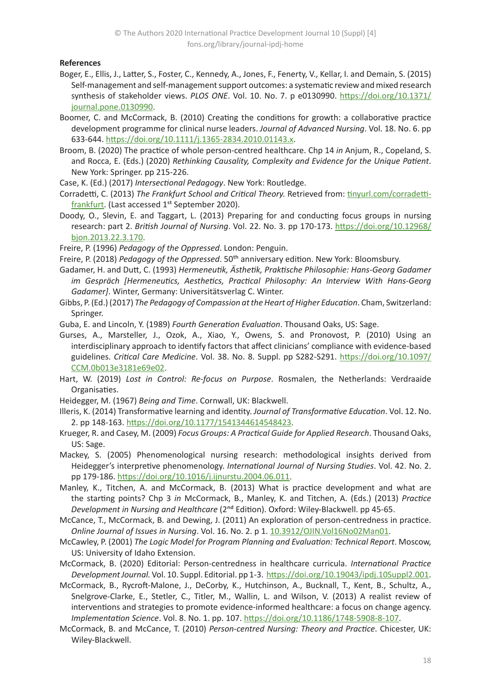## **References**

- Boger, E., Ellis, J., Latter, S., Foster, C., Kennedy, A., Jones, F., Fenerty, V., Kellar, I. and Demain, S. (2015) Self-management and self-management support outcomes: a systematic review and mixed research synthesis of stakeholder views. *PLOS ONE*. Vol. 10. No. 7. p e0130990. [https://doi.org/10.1371/](https://doi.org/10.1371/journal.pone.0130990) [journal.pone.0130990](https://doi.org/10.1371/journal.pone.0130990).
- Boomer, C. and McCormack, B. (2010) Creating the conditions for growth: a collaborative practice development programme for clinical nurse leaders. *Journal of Advanced Nursing*. Vol. 18. No. 6. pp 633-644. <https://doi.org/10.1111/j.1365-2834.2010.01143.x>.
- Broom, B. (2020) The practice of whole person-centred healthcare. Chp 14 *in* Anjum, R., Copeland, S. and Rocca, E. (Eds.) (2020) *Rethinking Causality, Complexity and Evidence for the Unique Patient*. New York: Springer. pp 215-226.
- Case, K. (Ed.) (2017) *Intersectional Pedagogy*. New York: Routledge.
- Corradetti, C. (2013) *The Frankfurt School and Critical Theory.* Retrieved from: [tinyurl.com/corradetti](https://tinyurl.com/corradetti-frankfurt)[frankfurt](https://tinyurl.com/corradetti-frankfurt). (Last accessed 1<sup>st</sup> September 2020).
- Doody, O., Slevin, E. and Taggart, L. (2013) Preparing for and conducting focus groups in nursing research: part 2. *British Journal of Nursing*. Vol. 22. No. 3. pp 170-173. [https://doi.org/10.12968/](https://doi.org/10.12968/bjon.2013.22.3.170) [bjon.2013.22.3.170](https://doi.org/10.12968/bjon.2013.22.3.170).
- Freire, P. (1996) *Pedagogy of the Oppressed*. London: Penguin.
- Freire, P. (2018) *Pedagogy of the Oppressed*. 50th anniversary edition. New York: Bloomsbury.
- Gadamer, H. and Dutt, C. (1993) *Hermeneutik, Ästhetik, Praktische Philosophie: Hans-Georg Gadamer im Gespräch [Hermeneutics, Aesthetics, Practical Philosophy: An Interview With Hans-Georg Gadamer]*. Winter, Germany: Universitätsverlag C. Winter.
- Gibbs, P. (Ed.) (2017) *The Pedagogy of Compassion at the Heart of Higher Education*. Cham, Switzerland: Springer.
- Guba, E. and Lincoln, Y. (1989) *Fourth Generation Evaluation*. Thousand Oaks, US: Sage.
- Gurses, A., Marsteller, J., Ozok, A., Xiao, Y., Owens, S. and Pronovost, P. (2010) Using an interdisciplinary approach to identify factors that affect clinicians' compliance with evidence-based guidelines. *Critical Care Medicine*. Vol. 38. No. 8. Suppl. pp S282-S291. [https://doi.org/10.1097/](https://doi.org/10.1097/CCM.0b013e3181e69e02) [CCM.0b013e3181e69e02](https://doi.org/10.1097/CCM.0b013e3181e69e02).
- Hart, W. (2019) *Lost in Control: Re-focus on Purpose*. Rosmalen, the Netherlands: Verdraaide Organisaties.
- Heidegger, M. (1967) *Being and Time*. Cornwall, UK: Blackwell.
- Illeris, K. (2014) Transformative learning and identity. *Journal of Transformative Education*. Vol. 12. No. 2. pp 148-163.<https://doi.org/10.1177/1541344614548423>.
- Krueger, R. and Casey, M. (2009) *Focus Groups: A Practical Guide for Applied Research*. Thousand Oaks, US: Sage.
- Mackey, S. (2005) Phenomenological nursing research: methodological insights derived from Heidegger's interpretive phenomenology. *International Journal of Nursing Studies*. Vol. 42. No. 2. pp 179-186. <https://doi.org/10.1016/j.ijnurstu.2004.06.011>.
- Manley, K., Titchen, A. and McCormack, B. (2013) What is practice development and what are the starting points? Chp 3 *in* McCormack, B., Manley, K. and Titchen, A. (Eds.) (2013) *Practice Development in Nursing and Healthcare* (2<sup>nd</sup> Edition). Oxford: Wiley-Blackwell. pp 45-65.
- McCance, T., McCormack, B. and Dewing, J. (2011) An exploration of person-centredness in practice. *Online Journal of Issues in Nursing*. Vol. 16. No. 2. p 1. [10.3912/OJIN.Vol16No02Man01](http://NAMarketplace/ANAPeriodicals/OJIN/TableofContents/Vol-16-2011/No2-May-2011/Person-Centredness-in-Practice.aspx).
- McCawley, P. (2001) *The Logic Model for Program Planning and Evaluation: Technical Report*. Moscow, US: University of Idaho Extension.
- McCormack, B. (2020) Editorial: Person-centredness in healthcare curricula. *International Practice Development Journal.* Vol. 10. Suppl. Editorial. pp 1-3. <https://doi.org/10.19043/ipdj.10Suppl2.001>.
- McCormack, B., Rycroft-Malone, J., DeCorby, K., Hutchinson, A., Bucknall, T., Kent, B., Schultz, A., Snelgrove-Clarke, E., Stetler, C., Titler, M., Wallin, L. and Wilson, V. (2013) A realist review of interventions and strategies to promote evidence-informed healthcare: a focus on change agency. *Implementation Science*. Vol. 8. No. 1. pp. 107. [https://doi.org/10.1186/1748-5908-8-107](mailto:BMcCormack%40qmu.ac.uk?subject=IPDJ%20article).
- McCormack, B. and McCance, T. (2010) *Person-centred Nursing: Theory and Practice*. Chicester, UK: Wiley-Blackwell.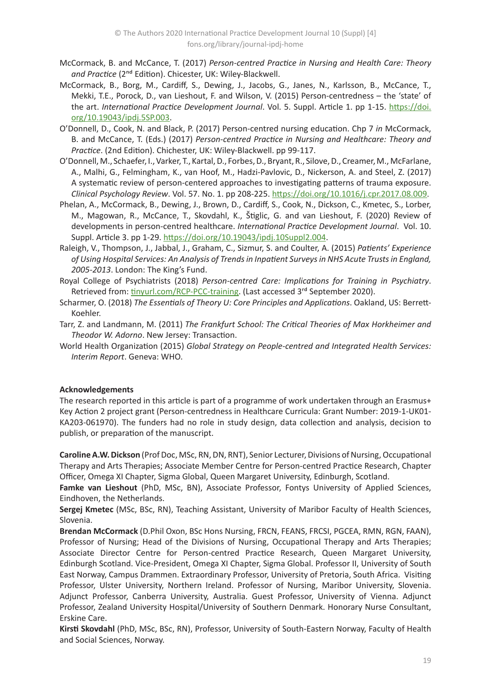- McCormack, B. and McCance, T. (2017) *Person-centred Practice in Nursing and Health Care: Theory*  and Practice (2<sup>nd</sup> Edition). Chicester, UK: Wiley-Blackwell.
- McCormack, B., Borg, M., Cardiff, S., Dewing, J., Jacobs, G., Janes, N., Karlsson, B., McCance, T., Mekki, T.E., Porock, D., van Lieshout, F. and Wilson, V. (2015) Person-centredness – the 'state' of the art. *International Practice Development Journal*. Vol. 5. Suppl. Article 1. pp 1-15. [https://doi.](https://doi.org/10.19043/ipdj.5SP.003) [org/10.19043/ipdj.5SP.003](https://doi.org/10.19043/ipdj.5SP.003).
- O'Donnell, D., Cook, N. and Black, P. (2017) Person-centred nursing education. Chp 7 *in* McCormack, B. and McCance, T. (Eds.) (2017) *Person-centred Practice in Nursing and Healthcare: Theory and Practice*. (2nd Edition). Chichester, UK: Wiley-Blackwell. pp 99-117.
- O'Donnell, M., Schaefer, I., Varker, T., Kartal, D., Forbes, D., Bryant, R., Silove, D., Creamer, M., McFarlane, A., Malhi, G., Felmingham, K., van Hoof, M., Hadzi-Pavlovic, D., Nickerson, A. and Steel, Z. (2017) A systematic review of person-centered approaches to investigating patterns of trauma exposure. *Clinical Psychology Review*. Vol. 57. No. 1. pp 208-225. <https://doi.org/10.1016/j.cpr.2017.08.009>.
- Phelan, A., McCormack, B., Dewing, J., Brown, D., Cardiff, S., Cook, N., Dickson, C., Kmetec, S., Lorber, M., Magowan, R., McCance, T., Skovdahl, K., Štiglic, G. and van Lieshout, F. (2020) Review of developments in person-centred healthcare. *International Practice Development Journal*. Vol. 10. Suppl. Article 3. pp 1-29.<https://doi.org/10.19043/ipdj.10Suppl2.004>.
- Raleigh, V., Thompson, J., Jabbal, J., Graham, C., Sizmur, S. and Coulter, A. (2015) *Patients' Experience of Using Hospital Services: An Analysis of Trends in Inpatient Surveys in NHS Acute Trusts in England, 2005-2013*. London: The King's Fund.
- Royal College of Psychiatrists (2018) *Person-centred Care: Implications for Training in Psychiatry*. Retrieved from: [tinyurl.com/RCP-PCC-training](https://tinyurl.com/RCP-PCC-training). (Last accessed 3<sup>rd</sup> September 2020).
- Scharmer, O. (2018) *The Essentials of Theory U: Core Principles and Applications*. Oakland, US: Berrett-Koehler.
- Tarr, Z. and Landmann, M. (2011) *The Frankfurt School: The Critical Theories of Max Horkheimer and Theodor W. Adorno*. New Jersey: Transaction.
- World Health Organization (2015) *Global Strategy on People-centred and Integrated Health Services: Interim Report*. Geneva: WHO.

## **Acknowledgements**

The research reported in this article is part of a programme of work undertaken through an Erasmus+ Key Action 2 project grant (Person-centredness in Healthcare Curricula: Grant Number: 2019-1-UK01- KA203-061970). The funders had no role in study design, data collection and analysis, decision to publish, or preparation of the manuscript.

**Caroline A.W. Dickson** (Prof Doc, MSc, RN, DN, RNT), Senior Lecturer,Divisions of Nursing, Occupational Therapy and Arts Therapies; Associate Member Centre for Person-centred Practice Research, Chapter Officer, Omega XI Chapter, Sigma Global, Queen Margaret University, Edinburgh, Scotland.

**Famke van Lieshout** (PhD, MSc, BN), Associate Professor, Fontys University of Applied Sciences, Eindhoven, the Netherlands.

**Sergej Kmetec** (MSc, BSc, RN), Teaching Assistant, University of Maribor Faculty of Health Sciences, Slovenia.

**Brendan McCormack** (D.Phil Oxon, BSc Hons Nursing, FRCN, FEANS, FRCSI, PGCEA, RMN, RGN, FAAN), Professor of Nursing; Head of the Divisions of Nursing, Occupational Therapy and Arts Therapies; Associate Director Centre for Person-centred Practice Research, Queen Margaret University, Edinburgh Scotland. Vice-President, Omega XI Chapter, Sigma Global. Professor II, University of South East Norway, Campus Drammen. Extraordinary Professor, University of Pretoria, South Africa. Visiting Professor, Ulster University, Northern Ireland. Professor of Nursing, Maribor University, Slovenia. Adjunct Professor, Canberra University, Australia. Guest Professor, University of Vienna. Adjunct Professor, Zealand University Hospital/University of Southern Denmark. Honorary Nurse Consultant, Erskine Care.

**Kirsti Skovdahl** (PhD, MSc, BSc, RN), Professor, University of South-Eastern Norway, Faculty of Health and Social Sciences, Norway.